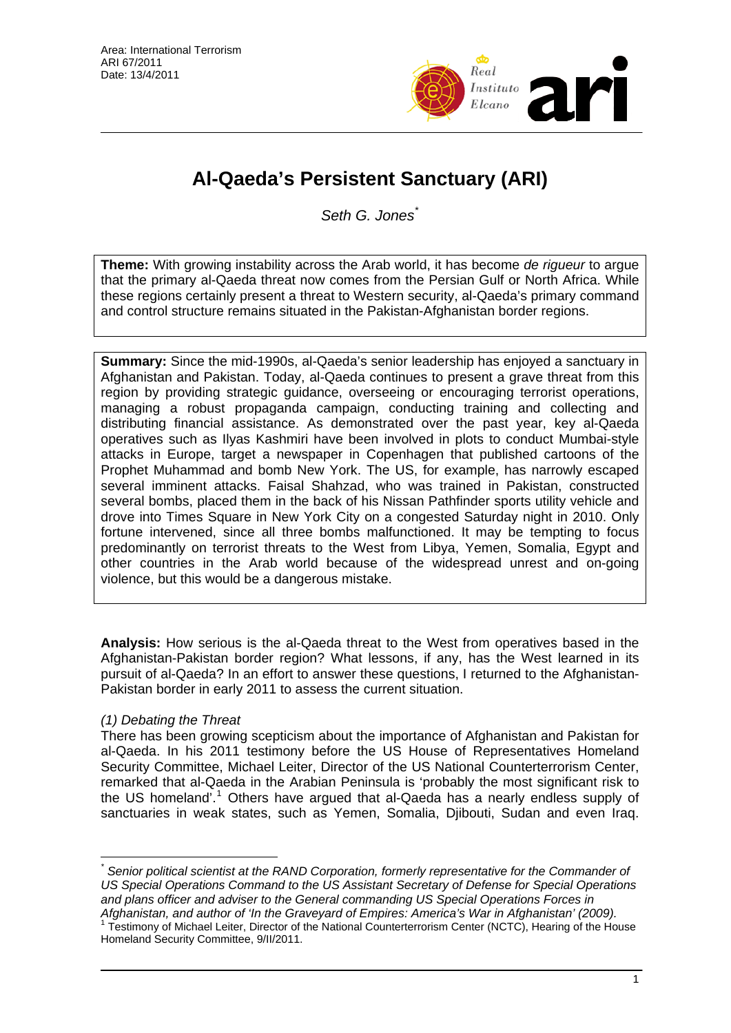

# **Al-Qaeda's Persistent Sanctuary (ARI)**

*Seth G. Jones*[\\*](#page-0-0)

**Theme:** With growing instability across the Arab world, it has become *de rigueur* to argue that the primary al-Qaeda threat now comes from the Persian Gulf or North Africa. While these regions certainly present a threat to Western security, al-Qaeda's primary command and control structure remains situated in the Pakistan-Afghanistan border regions.

**Summary:** Since the mid-1990s, al-Qaeda's senior leadership has enjoyed a sanctuary in Afghanistan and Pakistan. Today, al-Qaeda continues to present a grave threat from this region by providing strategic guidance, overseeing or encouraging terrorist operations, managing a robust propaganda campaign, conducting training and collecting and distributing financial assistance. As demonstrated over the past year, key al-Qaeda operatives such as Ilyas Kashmiri have been involved in plots to conduct Mumbai-style attacks in Europe, target a newspaper in Copenhagen that published cartoons of the Prophet Muhammad and bomb New York. The US, for example, has narrowly escaped several imminent attacks. Faisal Shahzad, who was trained in Pakistan, constructed several bombs, placed them in the back of his Nissan Pathfinder sports utility vehicle and drove into Times Square in New York City on a congested Saturday night in 2010. Only fortune intervened, since all three bombs malfunctioned. It may be tempting to focus predominantly on terrorist threats to the West from Libya, Yemen, Somalia, Egypt and other countries in the Arab world because of the widespread unrest and on-going violence, but this would be a dangerous mistake.

**Analysis:** How serious is the al-Qaeda threat to the West from operatives based in the Afghanistan-Pakistan border region? What lessons, if any, has the West learned in its pursuit of al-Qaeda? In an effort to answer these questions, I returned to the Afghanistan-Pakistan border in early 2011 to assess the current situation.

## *(1) Debating the Threat*

There has been growing scepticism about the importance of Afghanistan and Pakistan for al-Qaeda. In his 2011 testimony before the US House of Representatives Homeland Security Committee, Michael Leiter, Director of the US National Counterterrorism Center, remarked that al-Qaeda in the Arabian Peninsula is 'probably the most significant risk to the US homeland'.<sup>[1](#page-0-1)</sup> Others have argued that al-Qaeda has a nearly endless supply of sanctuaries in weak states, such as Yemen, Somalia, Djibouti, Sudan and even Iraq.

<span id="page-0-0"></span> $\overline{a}$ *\* Senior political scientist at the RAND Corporation, formerly representative for the Commander of US Special Operations Command to the US Assistant Secretary of Defense for Special Operations and plans officer and adviser to the General commanding US Special Operations Forces in* 

<span id="page-0-1"></span>A*fghanistan, and author of 'In the Graveyard of Empires: America's War in Afghanistan' (2009).*<br><sup>1</sup> Testimony of Michael Leiter, Director of the National Counterterrorism Center (NCTC), Hearing of the House Homeland Security Committee, 9/II/2011.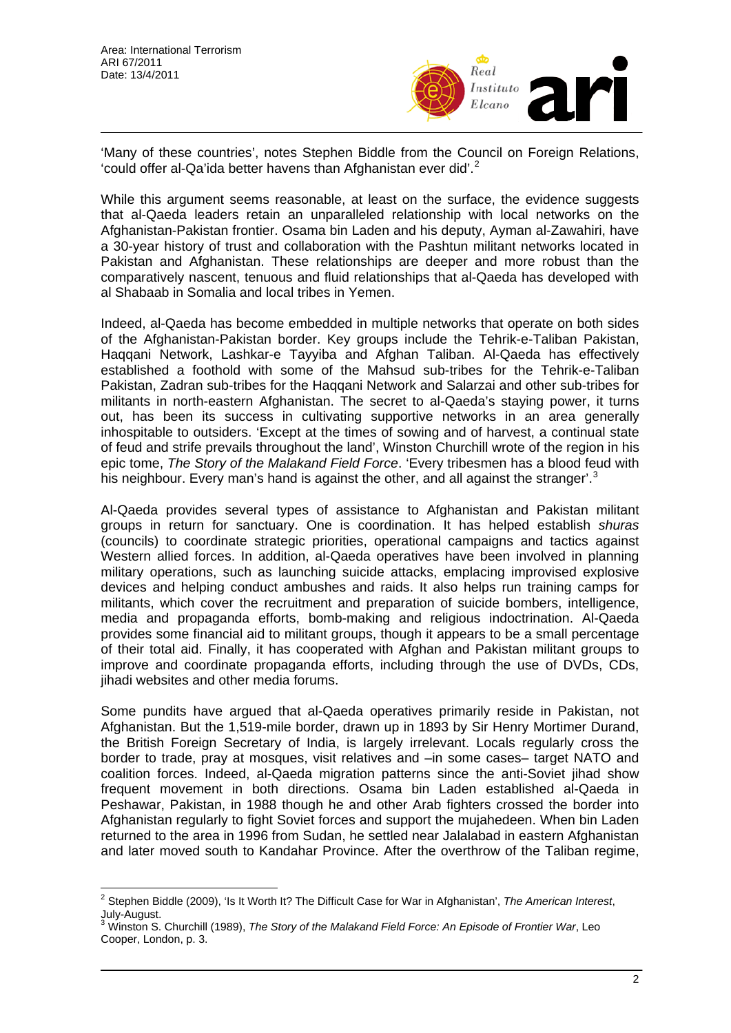

'Many of these countries', notes Stephen Biddle from the Council on Foreign Relations, 'could offer al-Qa'ida better havens than Afghanistan ever did'.[2](#page-1-0)

While this argument seems reasonable, at least on the surface, the evidence suggests that al-Qaeda leaders retain an unparalleled relationship with local networks on the Afghanistan-Pakistan frontier. Osama bin Laden and his deputy, Ayman al-Zawahiri, have a 30-year history of trust and collaboration with the Pashtun militant networks located in Pakistan and Afghanistan. These relationships are deeper and more robust than the comparatively nascent, tenuous and fluid relationships that al-Qaeda has developed with al Shabaab in Somalia and local tribes in Yemen.

Indeed, al-Qaeda has become embedded in multiple networks that operate on both sides of the Afghanistan-Pakistan border. Key groups include the Tehrik-e-Taliban Pakistan, Haqqani Network, Lashkar-e Tayyiba and Afghan Taliban. Al-Qaeda has effectively established a foothold with some of the Mahsud sub-tribes for the Tehrik-e-Taliban Pakistan, Zadran sub-tribes for the Haqqani Network and Salarzai and other sub-tribes for militants in north-eastern Afghanistan. The secret to al-Qaeda's staying power, it turns out, has been its success in cultivating supportive networks in an area generally inhospitable to outsiders. 'Except at the times of sowing and of harvest, a continual state of feud and strife prevails throughout the land', Winston Churchill wrote of the region in his epic tome, *The Story of the Malakand Field Force*. 'Every tribesmen has a blood feud with his neighbour. Every man's hand is against the other, and all against the stranger'.<sup>[3](#page-1-1)</sup>

Al-Qaeda provides several types of assistance to Afghanistan and Pakistan militant groups in return for sanctuary. One is coordination. It has helped establish *shuras* (councils) to coordinate strategic priorities, operational campaigns and tactics against Western allied forces. In addition, al-Qaeda operatives have been involved in planning military operations, such as launching suicide attacks, emplacing improvised explosive devices and helping conduct ambushes and raids. It also helps run training camps for militants, which cover the recruitment and preparation of suicide bombers, intelligence, media and propaganda efforts, bomb-making and religious indoctrination. Al-Qaeda provides some financial aid to militant groups, though it appears to be a small percentage of their total aid. Finally, it has cooperated with Afghan and Pakistan militant groups to improve and coordinate propaganda efforts, including through the use of DVDs, CDs, jihadi websites and other media forums.

Some pundits have argued that al-Qaeda operatives primarily reside in Pakistan, not Afghanistan. But the 1,519-mile border, drawn up in 1893 by Sir Henry Mortimer Durand, the British Foreign Secretary of India, is largely irrelevant. Locals regularly cross the border to trade, pray at mosques, visit relatives and –in some cases– target NATO and coalition forces. Indeed, al-Qaeda migration patterns since the anti-Soviet jihad show frequent movement in both directions. Osama bin Laden established al-Qaeda in Peshawar, Pakistan, in 1988 though he and other Arab fighters crossed the border into Afghanistan regularly to fight Soviet forces and support the mujahedeen. When bin Laden returned to the area in 1996 from Sudan, he settled near Jalalabad in eastern Afghanistan and later moved south to Kandahar Province. After the overthrow of the Taliban regime,

<span id="page-1-0"></span> 2 Stephen Biddle (2009), 'Is It Worth It? The Difficult Case for War in Afghanistan', *The American Interest*, July-August.

<span id="page-1-1"></span><sup>3</sup> Winston S. Churchill (1989), *The Story of the Malakand Field Force: An Episode of Frontier War*, Leo Cooper, London, p. 3.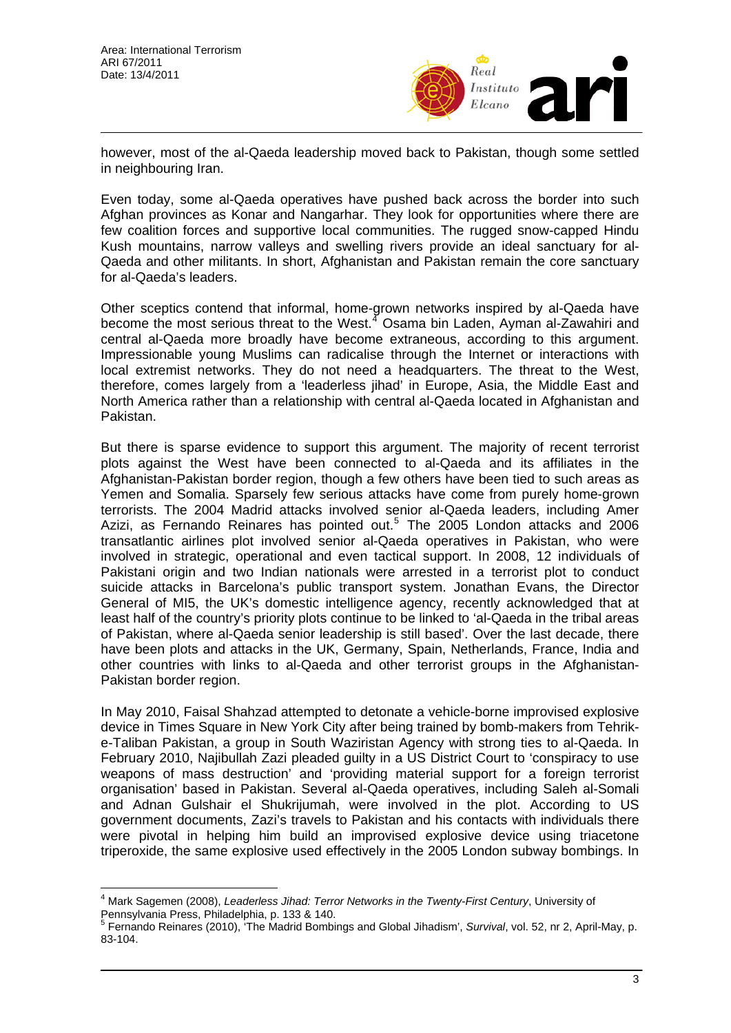$\overline{a}$ 



however, most of the al-Qaeda leadership moved back to Pakistan, though some settled in neighbouring Iran.

Even today, some al-Qaeda operatives have pushed back across the border into such Afghan provinces as Konar and Nangarhar. They look for opportunities where there are few coalition forces and supportive local communities. The rugged snow-capped Hindu Kush mountains, narrow valleys and swelling rivers provide an ideal sanctuary for al-Qaeda and other militants. In short, Afghanistan and Pakistan remain the core sanctuary for al-Qaeda's leaders.

Other sceptics contend that informal, home-grown networks inspired by al-Qaeda have become the most serious threat to the West.<sup>[4](#page-2-0)</sup> Osama bin Laden, Ayman al-Zawahiri and central al-Qaeda more broadly have become extraneous, according to this argument. Impressionable young Muslims can radicalise through the Internet or interactions with local extremist networks. They do not need a headquarters. The threat to the West, therefore, comes largely from a 'leaderless jihad' in Europe, Asia, the Middle East and North America rather than a relationship with central al-Qaeda located in Afghanistan and Pakistan.

But there is sparse evidence to support this argument. The majority of recent terrorist plots against the West have been connected to al-Qaeda and its affiliates in the Afghanistan-Pakistan border region, though a few others have been tied to such areas as Yemen and Somalia. Sparsely few serious attacks have come from purely home-grown terrorists. The 2004 Madrid attacks involved senior al-Qaeda leaders, including Amer Azizi, as Fernando Reinares has pointed out.<sup>[5](#page-2-1)</sup> The 2005 London attacks and 2006 transatlantic airlines plot involved senior al-Qaeda operatives in Pakistan, who were involved in strategic, operational and even tactical support. In 2008, 12 individuals of Pakistani origin and two Indian nationals were arrested in a terrorist plot to conduct suicide attacks in Barcelona's public transport system. Jonathan Evans, the Director General of MI5, the UK's domestic intelligence agency, recently acknowledged that at least half of the country's priority plots continue to be linked to 'al-Qaeda in the tribal areas of Pakistan, where al-Qaeda senior leadership is still based'. Over the last decade, there have been plots and attacks in the UK, Germany, Spain, Netherlands, France, India and other countries with links to al-Qaeda and other terrorist groups in the Afghanistan-Pakistan border region.

In May 2010, Faisal Shahzad attempted to detonate a vehicle-borne improvised explosive device in Times Square in New York City after being trained by bomb-makers from Tehrike-Taliban Pakistan, a group in South Waziristan Agency with strong ties to al-Qaeda. In February 2010, Najibullah Zazi pleaded guilty in a US District Court to 'conspiracy to use weapons of mass destruction' and 'providing material support for a foreign terrorist organisation' based in Pakistan. Several al-Qaeda operatives, including Saleh al-Somali and Adnan Gulshair el Shukrijumah, were involved in the plot. According to US government documents, Zazi's travels to Pakistan and his contacts with individuals there were pivotal in helping him build an improvised explosive device using triacetone triperoxide, the same explosive used effectively in the 2005 London subway bombings. In

<span id="page-2-0"></span><sup>4</sup> Mark Sagemen (2008), *Leaderless Jihad: Terror Networks in the Twenty-First Century*, University of Pennsylvania Press, Philadelphia, p. 133 & 140.

<span id="page-2-1"></span><sup>5</sup> Fernando Reinares (2010), 'The Madrid Bombings and Global Jihadism', *Survival*, vol. 52, nr 2, April-May, p. 83-104.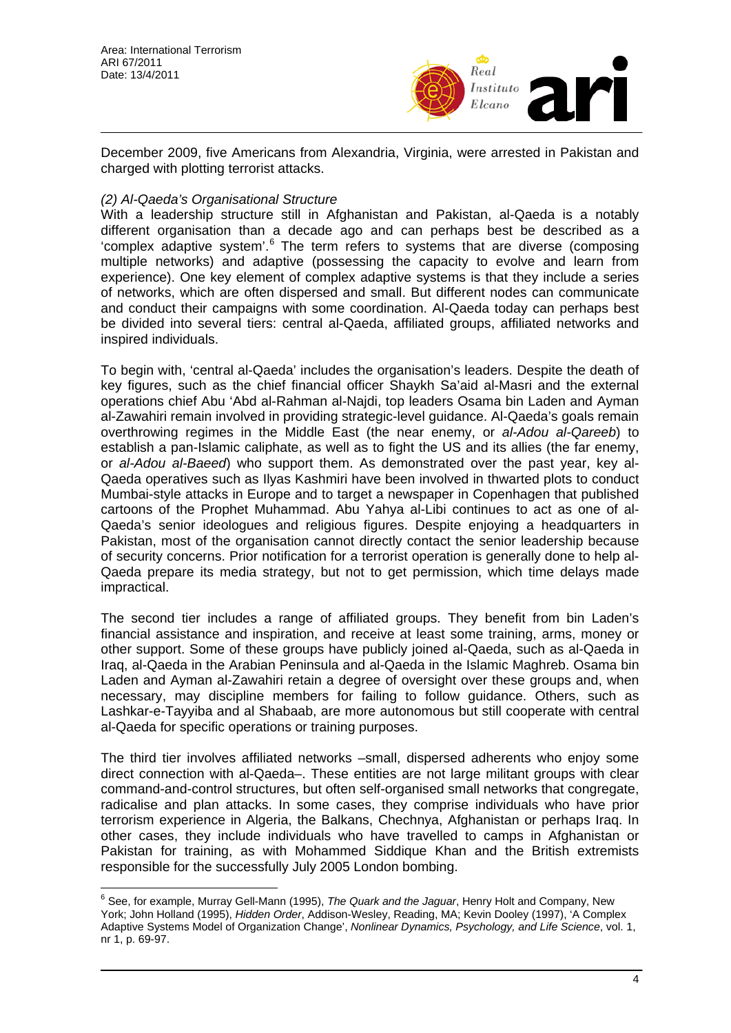

December 2009, five Americans from Alexandria, Virginia, were arrested in Pakistan and charged with plotting terrorist attacks.

#### *(2) Al-Qaeda's Organisational Structure*

With a leadership structure still in Afghanistan and Pakistan, al-Qaeda is a notably different organisation than a decade ago and can perhaps best be described as a 'complex adaptive system'. $6$  The term refers to systems that are diverse (composing multiple networks) and adaptive (possessing the capacity to evolve and learn from experience). One key element of complex adaptive systems is that they include a series of networks, which are often dispersed and small. But different nodes can communicate and conduct their campaigns with some coordination. Al-Qaeda today can perhaps best be divided into several tiers: central al-Qaeda, affiliated groups, affiliated networks and inspired individuals.

To begin with, 'central al-Qaeda' includes the organisation's leaders. Despite the death of key figures, such as the chief financial officer Shaykh Sa'aid al-Masri and the external operations chief Abu 'Abd al-Rahman al-Najdi, top leaders Osama bin Laden and Ayman al-Zawahiri remain involved in providing strategic-level guidance. Al-Qaeda's goals remain overthrowing regimes in the Middle East (the near enemy, or *al-Adou al-Qareeb*) to establish a pan-Islamic caliphate, as well as to fight the US and its allies (the far enemy, or *al-Adou al-Baeed*) who support them. As demonstrated over the past year, key al-Qaeda operatives such as Ilyas Kashmiri have been involved in thwarted plots to conduct Mumbai-style attacks in Europe and to target a newspaper in Copenhagen that published cartoons of the Prophet Muhammad. Abu Yahya al-Libi continues to act as one of al-Qaeda's senior ideologues and religious figures. Despite enjoying a headquarters in Pakistan, most of the organisation cannot directly contact the senior leadership because of security concerns. Prior notification for a terrorist operation is generally done to help al-Qaeda prepare its media strategy, but not to get permission, which time delays made impractical.

The second tier includes a range of affiliated groups. They benefit from bin Laden's financial assistance and inspiration, and receive at least some training, arms, money or other support. Some of these groups have publicly joined al-Qaeda, such as al-Qaeda in Iraq, al-Qaeda in the Arabian Peninsula and al-Qaeda in the Islamic Maghreb. Osama bin Laden and Ayman al-Zawahiri retain a degree of oversight over these groups and, when necessary, may discipline members for failing to follow guidance. Others, such as Lashkar-e-Tayyiba and al Shabaab, are more autonomous but still cooperate with central al-Qaeda for specific operations or training purposes.

The third tier involves affiliated networks –small, dispersed adherents who enjoy some direct connection with al-Qaeda–. These entities are not large militant groups with clear command-and-control structures, but often self-organised small networks that congregate, radicalise and plan attacks. In some cases, they comprise individuals who have prior terrorism experience in Algeria, the Balkans, Chechnya, Afghanistan or perhaps Iraq. In other cases, they include individuals who have travelled to camps in Afghanistan or Pakistan for training, as with Mohammed Siddique Khan and the British extremists responsible for the successfully July 2005 London bombing.

<span id="page-3-0"></span> 6 See, for example, Murray Gell-Mann (1995), *The Quark and the Jaguar*, Henry Holt and Company, New York; John Holland (1995), *Hidden Order*, Addison-Wesley, Reading, MA; Kevin Dooley (1997), 'A Complex Adaptive Systems Model of Organization Change', *Nonlinear Dynamics, Psychology, and Life Science*, vol. 1, nr 1, p. 69-97.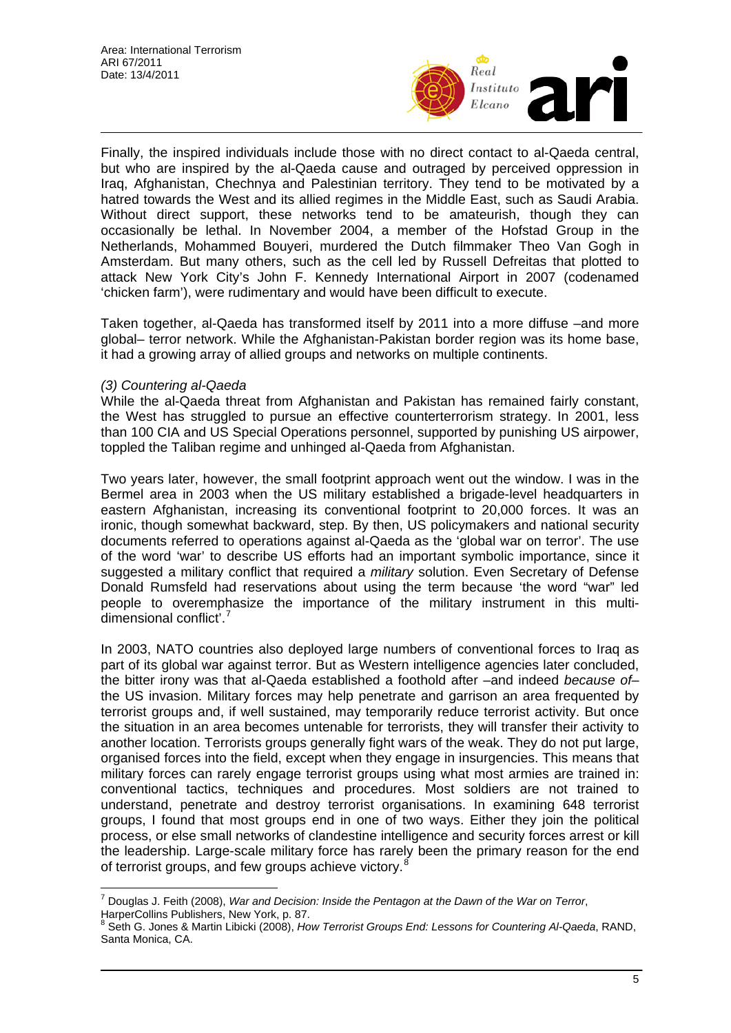

Finally, the inspired individuals include those with no direct contact to al-Qaeda central, but who are inspired by the al-Qaeda cause and outraged by perceived oppression in Iraq, Afghanistan, Chechnya and Palestinian territory. They tend to be motivated by a hatred towards the West and its allied regimes in the Middle East, such as Saudi Arabia. Without direct support, these networks tend to be amateurish, though they can occasionally be lethal. In November 2004, a member of the Hofstad Group in the Netherlands, Mohammed Bouyeri, murdered the Dutch filmmaker Theo Van Gogh in Amsterdam. But many others, such as the cell led by Russell Defreitas that plotted to attack New York City's John F. Kennedy International Airport in 2007 (codenamed 'chicken farm'), were rudimentary and would have been difficult to execute.

Taken together, al-Qaeda has transformed itself by 2011 into a more diffuse –and more global– terror network. While the Afghanistan-Pakistan border region was its home base, it had a growing array of allied groups and networks on multiple continents.

#### *(3) Countering al-Qaeda*

While the al-Qaeda threat from Afghanistan and Pakistan has remained fairly constant, the West has struggled to pursue an effective counterterrorism strategy. In 2001, less than 100 CIA and US Special Operations personnel, supported by punishing US airpower, toppled the Taliban regime and unhinged al-Qaeda from Afghanistan.

Two years later, however, the small footprint approach went out the window. I was in the Bermel area in 2003 when the US military established a brigade-level headquarters in eastern Afghanistan, increasing its conventional footprint to 20,000 forces. It was an ironic, though somewhat backward, step. By then, US policymakers and national security documents referred to operations against al-Qaeda as the 'global war on terror'. The use of the word 'war' to describe US efforts had an important symbolic importance, since it suggested a military conflict that required a *military* solution. Even Secretary of Defense Donald Rumsfeld had reservations about using the term because 'the word "war" led people to overemphasize the importance of the military instrument in this multi-dimensional conflict'.<sup>[7](#page-4-0)</sup>

In 2003, NATO countries also deployed large numbers of conventional forces to Iraq as part of its global war against terror. But as Western intelligence agencies later concluded, the bitter irony was that al-Qaeda established a foothold after –and indeed *because of*– the US invasion. Military forces may help penetrate and garrison an area frequented by terrorist groups and, if well sustained, may temporarily reduce terrorist activity. But once the situation in an area becomes untenable for terrorists, they will transfer their activity to another location. Terrorists groups generally fight wars of the weak. They do not put large, organised forces into the field, except when they engage in insurgencies. This means that military forces can rarely engage terrorist groups using what most armies are trained in: conventional tactics, techniques and procedures. Most soldiers are not trained to understand, penetrate and destroy terrorist organisations. In examining 648 terrorist groups, I found that most groups end in one of two ways. Either they join the political process, or else small networks of clandestine intelligence and security forces arrest or kill the leadership. Large-scale military force has rarely been the primary reason for the end of terrorist groups, and few groups achieve victory.<sup>[8](#page-4-1)</sup>

<span id="page-4-0"></span> 7 Douglas J. Feith (2008), *War and Decision: Inside the Pentagon at the Dawn of the War on Terror*, HarperCollins Publishers, New York, p. 87.

<span id="page-4-1"></span><sup>8</sup> Seth G. Jones & Martin Libicki (2008), *How Terrorist Groups End: Lessons for Countering Al-Qaeda*, RAND, Santa Monica, CA.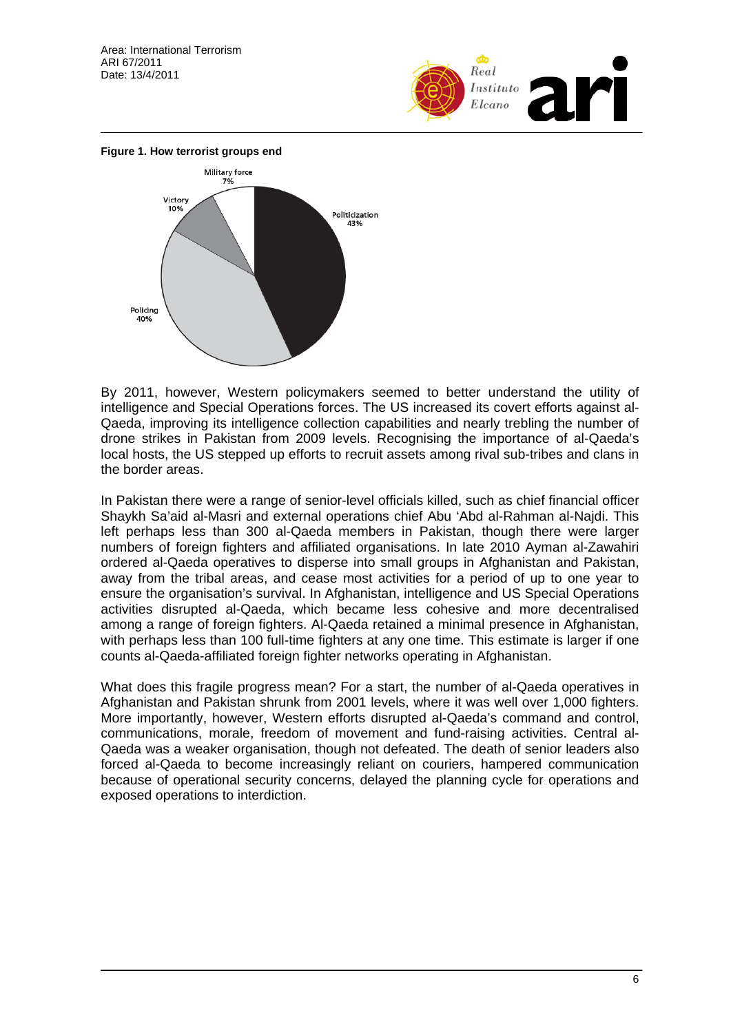



By 2011, however, Western policymakers seemed to better understand the utility of intelligence and Special Operations forces. The US increased its covert efforts against al-Qaeda, improving its intelligence collection capabilities and nearly trebling the number of drone strikes in Pakistan from 2009 levels. Recognising the importance of al-Qaeda's local hosts, the US stepped up efforts to recruit assets among rival sub-tribes and clans in the border areas.

In Pakistan there were a range of senior-level officials killed, such as chief financial officer Shaykh Sa'aid al-Masri and external operations chief Abu 'Abd al-Rahman al-Najdi. This left perhaps less than 300 al-Qaeda members in Pakistan, though there were larger numbers of foreign fighters and affiliated organisations. In late 2010 Ayman al-Zawahiri ordered al-Qaeda operatives to disperse into small groups in Afghanistan and Pakistan, away from the tribal areas, and cease most activities for a period of up to one year to ensure the organisation's survival. In Afghanistan, intelligence and US Special Operations activities disrupted al-Qaeda, which became less cohesive and more decentralised among a range of foreign fighters. Al-Qaeda retained a minimal presence in Afghanistan, with perhaps less than 100 full-time fighters at any one time. This estimate is larger if one counts al-Qaeda-affiliated foreign fighter networks operating in Afghanistan.

What does this fragile progress mean? For a start, the number of al-Qaeda operatives in Afghanistan and Pakistan shrunk from 2001 levels, where it was well over 1,000 fighters. More importantly, however, Western efforts disrupted al-Qaeda's command and control, communications, morale, freedom of movement and fund-raising activities. Central al-Qaeda was a weaker organisation, though not defeated. The death of senior leaders also forced al-Qaeda to become increasingly reliant on couriers, hampered communication because of operational security concerns, delayed the planning cycle for operations and exposed operations to interdiction.

6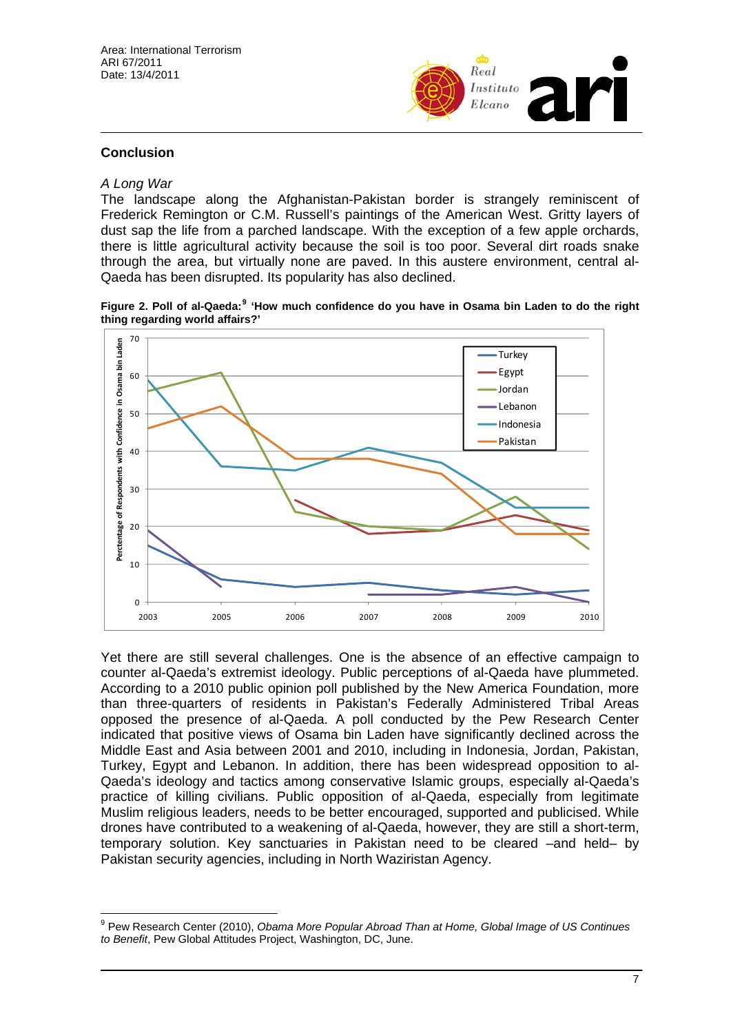

#### **Conclusion**

#### *A Long War*

 $\overline{a}$ 

The landscape along the Afghanistan-Pakistan border is strangely reminiscent of Frederick Remington or C.M. Russell's paintings of the American West. Gritty layers of dust sap the life from a parched landscape. With the exception of a few apple orchards, there is little agricultural activity because the soil is too poor. Several dirt roads snake through the area, but virtually none are paved. In this austere environment, central al-Qaeda has been disrupted. Its popularity has also declined.

**Figure 2. Poll of al-Qaeda:[9](#page-6-0) 'How much confidence do you have in Osama bin Laden to do the right thing regarding world affairs?'** 



Yet there are still several challenges. One is the absence of an effective campaign to counter al-Qaeda's extremist ideology. Public perceptions of al-Qaeda have plummeted. According to a 2010 public opinion poll published by the New America Foundation, more than three-quarters of residents in Pakistan's Federally Administered Tribal Areas opposed the presence of al-Qaeda. A poll conducted by the Pew Research Center indicated that positive views of Osama bin Laden have significantly declined across the Middle East and Asia between 2001 and 2010, including in Indonesia, Jordan, Pakistan, Turkey, Egypt and Lebanon. In addition, there has been widespread opposition to al-Qaeda's ideology and tactics among conservative Islamic groups, especially al-Qaeda's practice of killing civilians. Public opposition of al-Qaeda, especially from legitimate Muslim religious leaders, needs to be better encouraged, supported and publicised. While drones have contributed to a weakening of al-Qaeda, however, they are still a short-term, temporary solution. Key sanctuaries in Pakistan need to be cleared –and held– by Pakistan security agencies, including in North Waziristan Agency.

<span id="page-6-0"></span><sup>9</sup> Pew Research Center (2010), *Obama More Popular Abroad Than at Home, Global Image of US Continues to Benefit*, Pew Global Attitudes Project, Washington, DC, June.